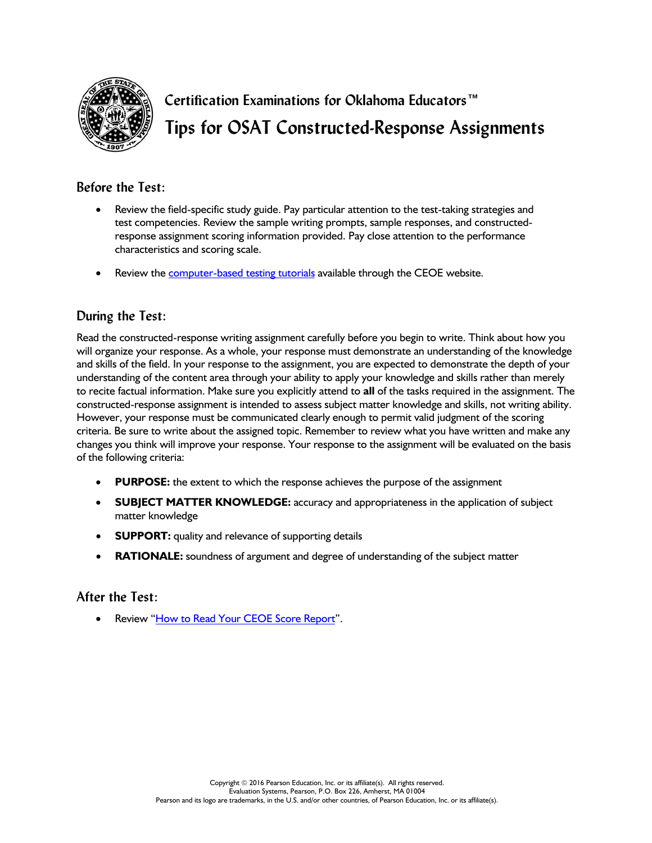

**Certification Examinations for Oklahoma Educators™ Tips for OSAT Constructed-Response Assignments**

## **Before the Test:**

- Review the field-specific study guide. Pay particular attention to the test-taking strategies and test competencies. Review the sample writing prompts, sample responses, and constructedresponse assignment scoring information provided. Pay close attention to the performance characteristics and scoring scale.
- Review the **computer-based testing tutorials** available through the CEOE website.

# **During the Test:**

Read the constructed-response writing assignment carefully before you begin to write. Think about how you will organize your response. As a whole, your response must demonstrate an understanding of the knowledge and skills of the field. In your response to the assignment, you are expected to demonstrate the depth of your understanding of the content area through your ability to apply your knowledge and skills rather than merely to recite factual information. Make sure you explicitly attend to **all** of the tasks required in the assignment. The constructed-response assignment is intended to assess subject matter knowledge and skills, not writing ability. However, your response must be communicated clearly enough to permit valid judgment of the scoring criteria. Be sure to write about the assigned topic. Remember to review what you have written and make any changes you think will improve your response. Your response to the assignment will be evaluated on the basis of the following criteria:

- **PURPOSE:** the extent to which the response achieves the purpose of the assignment
- **SUBJECT MATTER KNOWLEDGE:** accuracy and appropriateness in the application of subject matter knowledge
- **SUPPORT:** quality and relevance of supporting details
- **RATIONALE:** soundness of argument and degree of understanding of the subject matter

### **After the Test:**

Review ["How to Read Your CEOE Score Report"](http://www.ceoe.nesinc.com/PageView.aspx?f=GEN_UnderstandingYourTestResults.html).